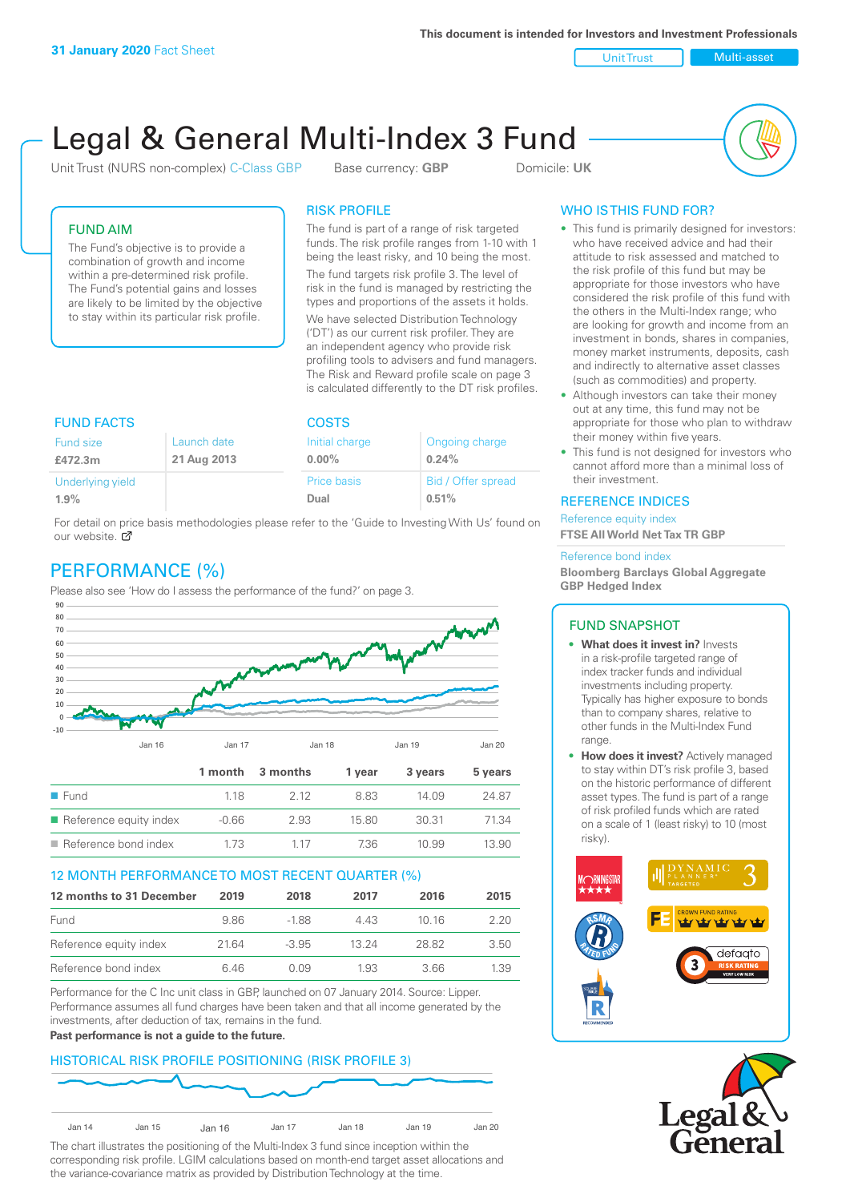**This document is intended for Investors and Investment Professionals**

Unit Trust Nulti-asset

# Legal & General Multi-Index 3 Fund

Unit Trust (NURS non-complex) C-Class GBP Base currency: **GBP** Domicile: UK



# FUND AIM

The Fund's objective is to provide a combination of growth and income within a pre-determined risk profile. The Fund's potential gains and losses are likely to be limited by the objective to stay within its particular risk profile.

### RISK PROFILE

The fund is part of a range of risk targeted funds. The risk profile ranges from 1-10 with 1 being the least risky, and 10 being the most.

The fund targets risk profile 3. The level of risk in the fund is managed by restricting the types and proportions of the assets it holds. We have selected Distribution Technology ('DT') as our current risk profiler. They are an independent agency who provide risk profiling tools to advisers and fund managers. The Risk and Reward profile scale on page 3 is calculated differently to the DT risk profiles.

| <b>FUND FACTS</b> |             | <b>COSTS</b>   |                    |  |
|-------------------|-------------|----------------|--------------------|--|
| Fund size         | Launch date | Initial charge | Ongoing charge     |  |
| £472.3m           | 21 Aug 2013 | $0.00\%$       | 0.24%              |  |
| Underlying yield  |             | Price basis    | Bid / Offer spread |  |
| 1.9%              |             | Dual           | 0.51%              |  |

For detail on price basis methodologies please refer to the 'Guide to Investing With Us' found on our website. Ø

# PERFORMANCE (%)

Please also see 'How do I assess the performance of the fund?' on page 3.



### 12 MONTH PERFORMANCE TO MOST RECENT QUARTER (%)

| 12 months to 31 December | 2019 | 2018    | 2017  | 2016  | 2015 |
|--------------------------|------|---------|-------|-------|------|
| Fund                     | 9.86 | -188    | 4 4 3 | 10 16 | 2 20 |
| Reference equity index   | 2164 | $-3.95$ | 13 24 | 28.82 | 3.50 |
| Reference bond index     | 6 46 | N N9    | 1.93  | 3 66  | 1.39 |

Performance for the C Inc unit class in GBP, launched on 07 January 2014. Source: Lipper. Performance assumes all fund charges have been taken and that all income generated by the investments, after deduction of tax, remains in the fund.

### **Past performance is not a guide to the future.**

# HISTORICAL RISK PROFILE POSITIONING (RISK PROFILE 3)



The chart illustrates the positioning of the Multi-Index 3 fund since inception within the corresponding risk profile. LGIM calculations based on month-end target asset allocations and the variance-covariance matrix as provided by Distribution Technology at the time.

# WHO IS THIS FUND FOR?

- This fund is primarily designed for investors: who have received advice and had their attitude to risk assessed and matched to the risk profile of this fund but may be appropriate for those investors who have considered the risk profile of this fund with the others in the Multi-Index range; who are looking for growth and income from an investment in bonds, shares in companies, money market instruments, deposits, cash and indirectly to alternative asset classes (such as commodities) and property.
- Although investors can take their money out at any time, this fund may not be appropriate for those who plan to withdraw their money within five years.
- This fund is not designed for investors who cannot afford more than a minimal loss of their investment.

### REFERENCE INDICES

Reference equity index **FTSE All World Net Tax TR GBP**

#### Reference bond index

**Bloomberg Barclays Global Aggregate GBP Hedged Index**

### FUND SNAPSHOT

- **• What does it invest in?** Invests in a risk-profile targeted range of index tracker funds and individual investments including property. Typically has higher exposure to bonds than to company shares, relative to other funds in the Multi-Index Fund range.
- **• How does it invest?** Actively managed to stay within DT's risk profile 3, based on the historic performance of different asset types. The fund is part of a range of risk profiled funds which are rated on a scale of 1 (least risky) to 10 (most risky).



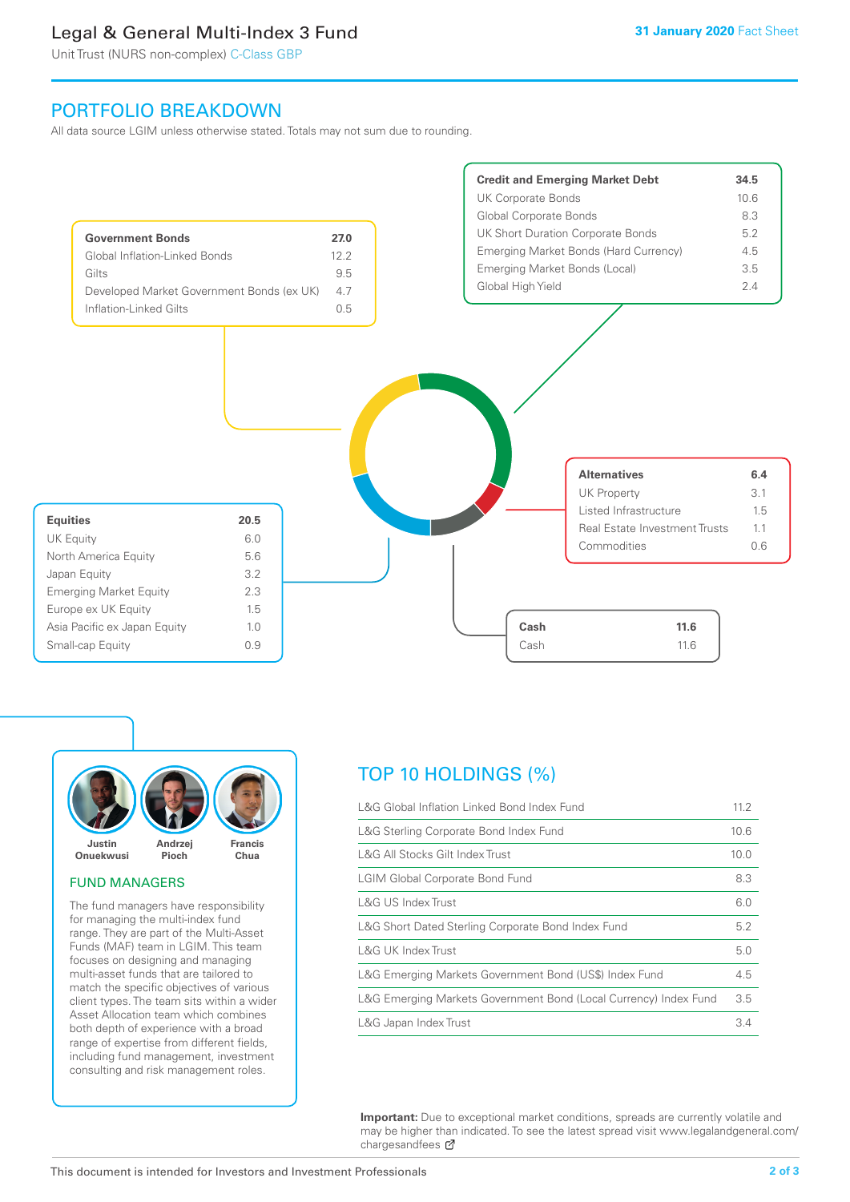# Legal & General Multi-Index 3 Fund

Unit Trust (NURS non-complex) C-Class GBP

# PORTFOLIO BREAKDOWN

All data source LGIM unless otherwise stated. Totals may not sum due to rounding.





### FUND MANAGERS

The fund managers have responsibility for managing the multi-index fund range. They are part of the Multi-Asset Funds (MAF) team in LGIM. This team focuses on designing and managing multi-asset funds that are tailored to match the specific objectives of various client types. The team sits within a wider Asset Allocation team which combines both depth of experience with a broad range of expertise from different fields, including fund management, investment consulting and risk management roles.

# TOP 10 HOLDINGS (%)

| L&G Global Inflation Linked Bond Index Fund                      | 11.2 |
|------------------------------------------------------------------|------|
| L&G Sterling Corporate Bond Index Fund                           | 10.6 |
| L&G All Stocks Gilt Index Trust                                  | 10.0 |
| <b>LGIM Global Corporate Bond Fund</b>                           | 8.3  |
| L&G US Index Trust                                               | 6.0  |
| L&G Short Dated Sterling Corporate Bond Index Fund               | 5.2  |
| <b>L&amp;G UK Index Trust</b>                                    | 5.0  |
| L&G Emerging Markets Government Bond (US\$) Index Fund           | 4.5  |
| L&G Emerging Markets Government Bond (Local Currency) Index Fund | 3.5  |
| L&G Japan Index Trust                                            | 3.4  |

**Important:** Due to exceptional market conditions, spreads are currently volatile and may be higher than indicated. To see the latest spread visit www.legalandgeneral.com/ chargesandfees Ø